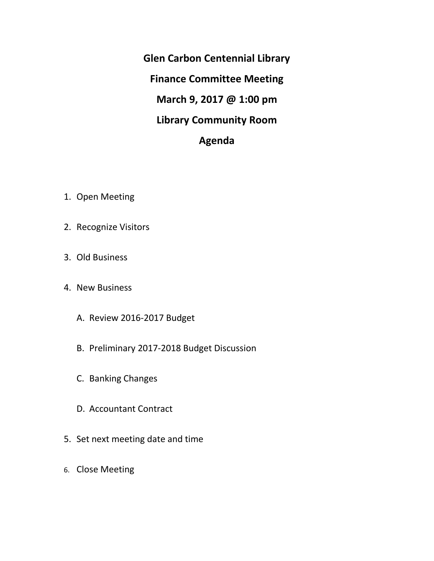**Glen Carbon Centennial Library Finance Committee Meeting March 9, 2017 @ 1:00 pm Library Community Room Agenda**

- 1. Open Meeting
- 2. Recognize Visitors
- 3. Old Business
- 4. New Business
	- A. Review 2016-2017 Budget
	- B. Preliminary 2017-2018 Budget Discussion
	- C. Banking Changes
	- D. Accountant Contract
- 5. Set next meeting date and time
- 6. Close Meeting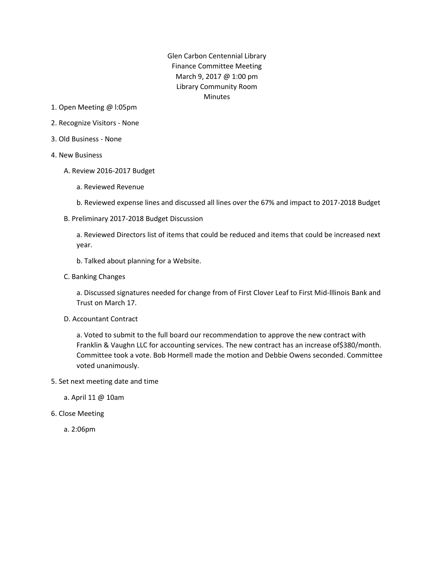Glen Carbon Centennial Library Finance Committee Meeting March 9, 2017 @ 1:00 pm Library Community Room Minutes

- 1. Open Meeting @ l:05pm
- 2. Recognize Visitors None
- 3. Old Business None
- 4. New Business
	- A. Review 2016-2017 Budget
		- a. Reviewed Revenue
		- b. Reviewed expense lines and discussed all lines over the 67% and impact to 2017-2018 Budget
	- B. Preliminary 2017-2018 Budget Discussion

a. Reviewed Directors list of items that could be reduced and items that could be increased next year.

- b. Talked about planning for a Website.
- C. Banking Changes

a. Discussed signatures needed for change from of First Clover Leaf to First Mid-lllinois Bank and Trust on March 17.

D. Accountant Contract

a. Voted to submit to the full board our recommendation to approve the new contract with Franklin & Vaughn LLC for accounting services. The new contract has an increase of\$380/month. Committee took a vote. Bob Hormell made the motion and Debbie Owens seconded. Committee voted unanimously.

5. Set next meeting date and time

a. April 11 @ 10am

6. Close Meeting

a. 2:06pm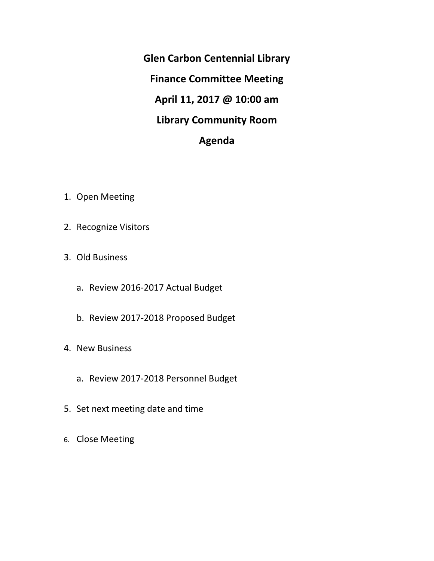**Glen Carbon Centennial Library Finance Committee Meeting April 11, 2017 @ 10:00 am Library Community Room Agenda**

- 1. Open Meeting
- 2. Recognize Visitors
- 3. Old Business
	- a. Review 2016-2017 Actual Budget
	- b. Review 2017-2018 Proposed Budget
- 4. New Business
	- a. Review 2017-2018 Personnel Budget
- 5. Set next meeting date and time
- 6. Close Meeting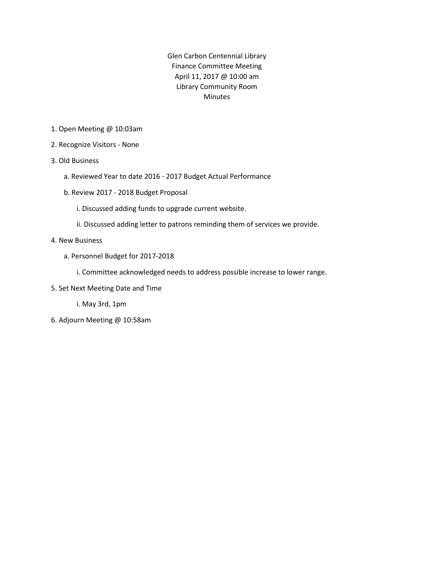Glen Carbon Centennial Library Finance Committee Meeting April 11, 2017 @ 10:00 am Library Community Room Minutes

- 1. Open Meeting @ 10:03am
- 2. Recognize Visitors None
- 3. Old Business
	- a. Reviewed Year to date 2016 2017 Budget Actual Performance
	- b. Review 2017 2018 Budget Proposal
		- i. Discussed adding funds to upgrade current website.
		- ii. Discussed adding letter to patrons reminding them of services we provide.
- 4. New Business
	- a. Personnel Budget for 2017-2018

i. Committee acknowledged needs to address possible increase to lower range.

5. Set Next Meeting Date and Time

i. May 3rd, 1pm

6. Adjourn Meeting @ 10:58am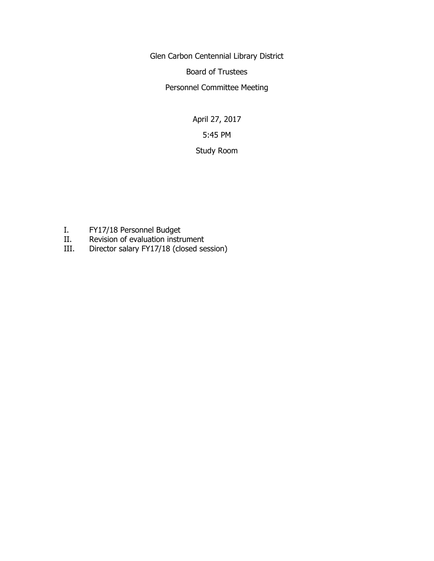Glen Carbon Centennial Library District

Board of Trustees

Personnel Committee Meeting

April 27, 2017 5:45 PM Study Room

- I. FY17/18 Personnel Budget
- II. Revision of evaluation instrument
- III. Director salary FY17/18 (closed session)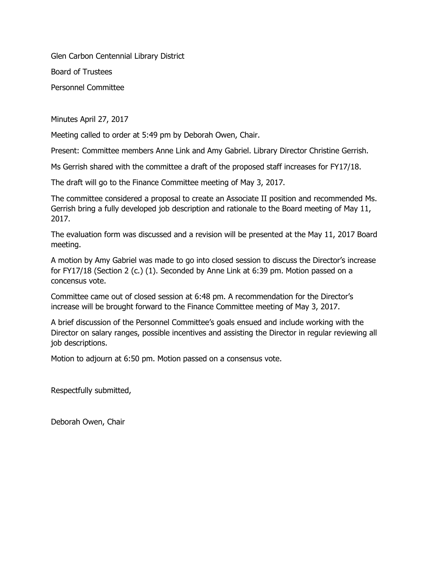Glen Carbon Centennial Library District

Board of Trustees

Personnel Committee

Minutes April 27, 2017

Meeting called to order at 5:49 pm by Deborah Owen, Chair.

Present: Committee members Anne Link and Amy Gabriel. Library Director Christine Gerrish.

Ms Gerrish shared with the committee a draft of the proposed staff increases for FY17/18.

The draft will go to the Finance Committee meeting of May 3, 2017.

The committee considered a proposal to create an Associate II position and recommended Ms. Gerrish bring a fully developed job description and rationale to the Board meeting of May 11, 2017.

The evaluation form was discussed and a revision will be presented at the May 11, 2017 Board meeting.

A motion by Amy Gabriel was made to go into closed session to discuss the Director's increase for FY17/18 (Section 2 (c.) (1). Seconded by Anne Link at 6:39 pm. Motion passed on a concensus vote.

Committee came out of closed session at 6:48 pm. A recommendation for the Director's increase will be brought forward to the Finance Committee meeting of May 3, 2017.

A brief discussion of the Personnel Committee's goals ensued and include working with the Director on salary ranges, possible incentives and assisting the Director in regular reviewing all job descriptions.

Motion to adjourn at 6:50 pm. Motion passed on a consensus vote.

Respectfully submitted,

Deborah Owen, Chair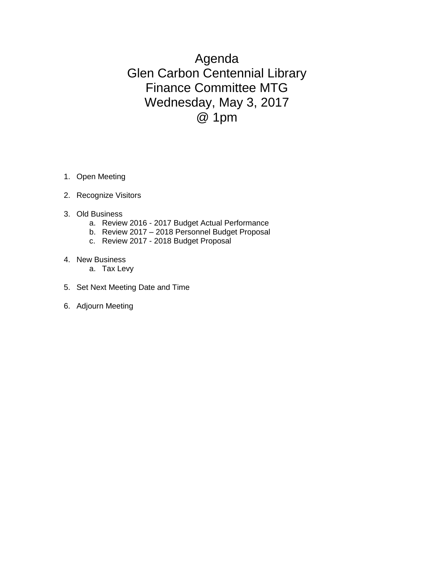Agenda Glen Carbon Centennial Library Finance Committee MTG Wednesday, May 3, 2017 @ 1pm

- 1. Open Meeting
- 2. Recognize Visitors
- 3. Old Business
	- a. Review 2016 2017 Budget Actual Performance
	- b. Review 2017 2018 Personnel Budget Proposal
	- c. Review 2017 2018 Budget Proposal
- 4. New Business
	- a. Tax Levy
- 5. Set Next Meeting Date and Time
- 6. Adjourn Meeting